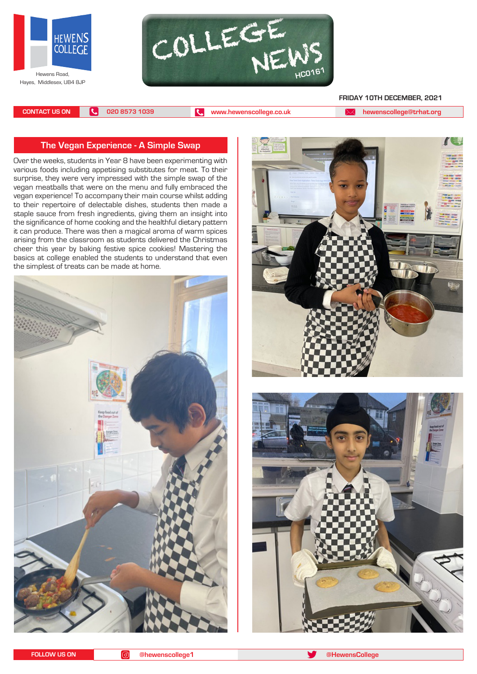



#### **FRIDAY 10TH DECEMBER, 2021**

**CONTACT US ON 020 8573 1039 [www.hewenscollege.co.uk](http://www.hewenscollege.co.uk) [hewenscollege@trhat.org](mailto:hewenscollege@trhat.org)**

#### **The Vegan Experience - A Simple Swap**

Over the weeks, students in Year 8 have been experimenting with various foods including appetising substitutes for meat. To their surprise, they were very impressed with the simple swap of the vegan meatballs that were on the menu and fully embraced the vegan experience! To accompany their main course whilst adding to their repertoire of delectable dishes, students then made a staple sauce from fresh ingredients, giving them an insight into the significance of home cooking and the healthful dietary pattern it can produce. There was then a magical aroma of warm spices arising from the classroom as students delivered the Christmas cheer this year by baking festive spice cookies! Mastering the basics at college enabled the students to understand that even the simplest of treats can be made at home.